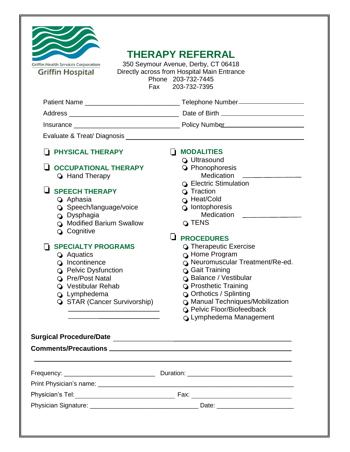| <b>FI PHYSICAL THERAPY</b><br>ப<br><b>OCCUPATIONAL THERAPY</b><br><b>G</b> Hand Therapy                                                                                                                                                                                                           | <b>MODALITIES</b><br>ப<br><b>Q</b> Ultrasound<br><b>Q</b> Phonophoresis<br><b>Medication</b><br><b>Q</b> Electric Stimulation                                                                                                                                                                   |
|---------------------------------------------------------------------------------------------------------------------------------------------------------------------------------------------------------------------------------------------------------------------------------------------------|-------------------------------------------------------------------------------------------------------------------------------------------------------------------------------------------------------------------------------------------------------------------------------------------------|
| $\Box$ SPEECH THERAPY<br><b>4</b> Aphasia<br>Speech/language/voice<br><b>Q</b> Dysphagia<br>O Modified Barium Swallow<br><b>Q</b> Cognitive                                                                                                                                                       | <b>G</b> Traction<br><b>G</b> Heat/Cold<br>$\circ$ lontophoresis<br>Medication<br>Q TENS<br>IJ.<br><b>PROCEDURES</b>                                                                                                                                                                            |
| <b>SPECIALTY PROGRAMS</b><br>l 1<br><b>Q</b> Aquatics<br>o Incontinence<br><b>Q</b> Pelvic Dysfunction<br><b>Q</b> Pre/Post Natal<br><b>Q</b> Vestibular Rehab<br><b>Q</b> Lymphedema<br>STAR (Cancer Survivorship)<br>the control of the control of the control of the control of the control of | <b>G</b> Therapeutic Exercise<br><b>G</b> Home Program<br>O Neuromuscular Treatment/Re-ed.<br>○ Gait Training<br>○ Balance / Vestibular<br><b>Q</b> Prosthetic Training<br>O Orthotics / Splinting<br>O Manual Techniques/Mobilization<br>O Pelvic Floor/Biofeedback<br>○ Lymphedema Management |
|                                                                                                                                                                                                                                                                                                   |                                                                                                                                                                                                                                                                                                 |